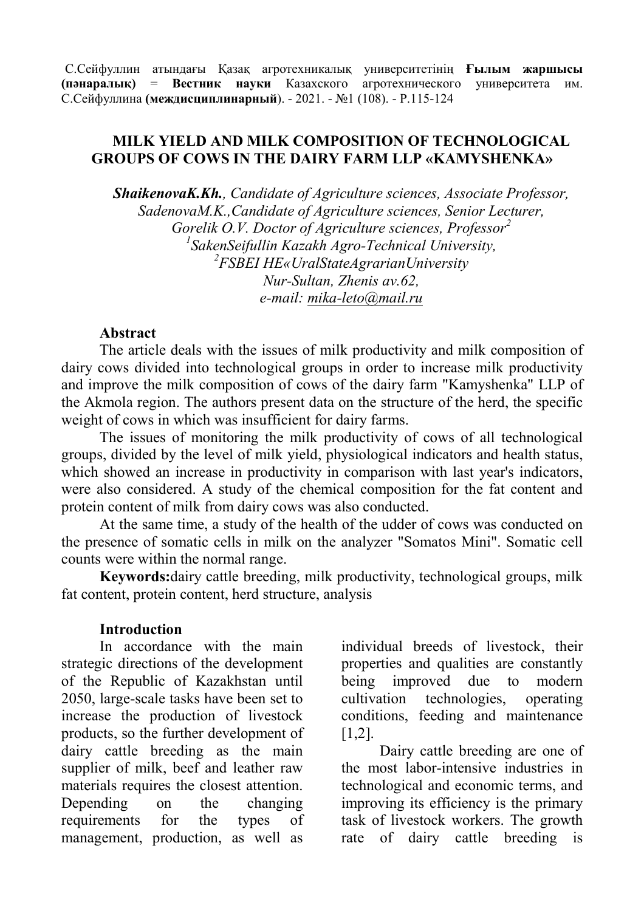С.Сейфуллин атындағы Қазақ агротехникалық университетінің **Ғылым жаршысы (пәнаралық)** = **Вестник науки** Казахского агротехнического университета им. С.Сейфуллина **(междисциплинарный**). - 2021. - №1 (108). - P.115-124

## **MILK YIELD AND MILK COMPOSITION OF TECHNOLOGICAL GROUPS OF COWS IN THE DAIRY FARM LLP «KAMYSHENKA»**

*ShaikenovaK.Kh., Candidate of Agriculture sciences, Associate Professor, SadenovaM.K.,Candidate of Agriculture sciences, Senior Lecturer, Gorelik О.V. Doctor of Agriculture sciences, Professor 2 1 SakenSeifullin Kazakh Agro-Technical University, 2 FSBEI HE«UralStateAgrarianUniversity Nur-Sultan, Zhenis av.62, е-mail: [mika-leto@mail.ru](mailto:mika-leto@mail.ru)*

#### **Abstract**

The article deals with the issues of milk productivity and milk composition of dairy cows divided into technological groups in order to increase milk productivity and improve the milk composition of cows of the dairy farm "Kamyshenka" LLP of the Akmola region. The authors present data on the structure of the herd, the specific weight of cows in which was insufficient for dairy farms.

The issues of monitoring the milk productivity of cows of all technological groups, divided by the level of milk yield, physiological indicators and health status, which showed an increase in productivity in comparison with last year's indicators, were also considered. A study of the chemical composition for the fat content and protein content of milk from dairy cows was also conducted.

At the same time, a study of the health of the udder of cows was conducted on the presence of somatic cells in milk on the analyzer "Somatos Mini". Somatic cell counts were within the normal range.

**Keywords:**dairy cattle breeding, milk productivity, technological groups, milk fat content, protein content, herd structure, analysis

### **Introduction**

In accordance with the main strategic directions of the development of the Republic of Kazakhstan until 2050, large-scale tasks have been set to increase the production of livestock products, so the further development of dairy cattle breeding as the main supplier of milk, beef and leather raw materials requires the closest attention. Depending on the changing requirements for the types of management, production, as well as

individual breeds of livestock, their properties and qualities are constantly being improved due to modern cultivation technologies, operating conditions, feeding and maintenance [1,2].

Dairy cattle breeding are one of the most labor-intensive industries in technological and economic terms, and improving its efficiency is the primary task of livestock workers. The growth rate of dairy cattle breeding is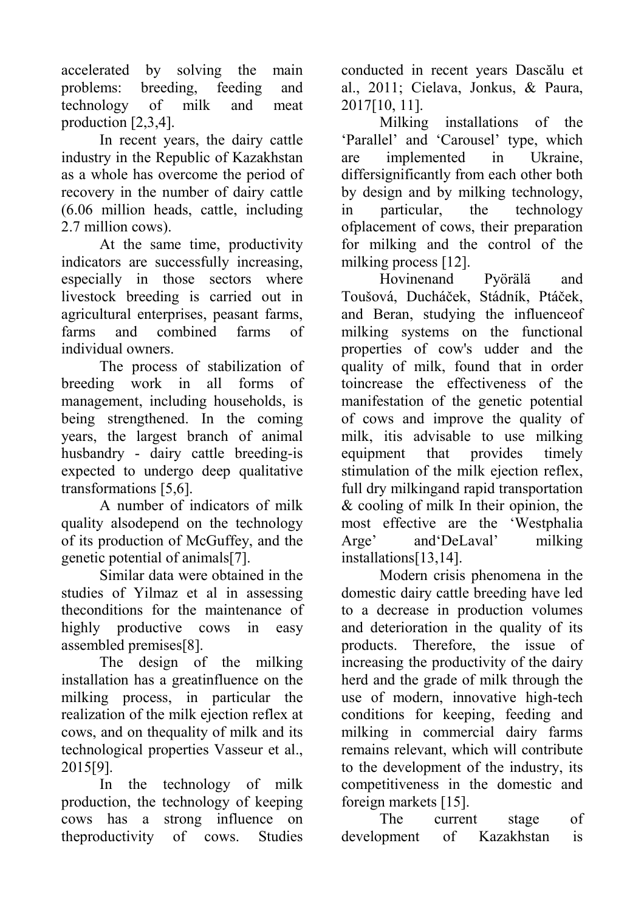accelerated by solving the main problems: breeding, feeding and technology of milk and meat production [2,3,4].

In recent years, the dairy cattle industry in the Republic of Kazakhstan as a whole has overcome the period of recovery in the number of dairy cattle (6.06 million heads, cattle, including 2.7 million cows).

At the same time, productivity indicators are successfully increasing, especially in those sectors where livestock breeding is carried out in agricultural enterprises, peasant farms, farms and combined farms of individual owners.

The process of stabilization of breeding work in all forms of management, including households, is being strengthened. In the coming years, the largest branch of animal husbandry - dairy cattle breeding-is expected to undergo deep qualitative transformations [5,6].

A number of indicators of milk quality alsodepend on the technology of its production of McGuffey, and the genetic potential of animals[7].

Similar data were obtained in the studies of Yilmaz et al in assessing theconditions for the maintenance of highly productive cows in easy assembled premises[8].

The design of the milking installation has a greatinfluence on the milking process, in particular the realization of the milk ejection reflex at cows, and on thequality of milk and its technological properties Vasseur et al., 2015[9].

In the technology of milk production, the technology of keeping cows has a strong influence on theproductivity of cows. Studies

conducted in recent years Dascălu et al., 2011; Cielava, Jonkus, & Paura, 2017[10, 11].

Milking installations of the 'Parallel' and 'Carousel' type, which are implemented in Ukraine, differsignificantly from each other both by design and by milking technology, in particular, the technology ofplacement of cows, their preparation for milking and the control of the milking process [12].

Hovinenand Pyörälä and Toušová, Ducháček, Stádník, Ptáček, and Beran, studying the influenceof milking systems on the functional properties of cow's udder and the quality of milk, found that in order toincrease the effectiveness of the manifestation of the genetic potential of cows and improve the quality of milk, itis advisable to use milking equipment that provides timely stimulation of the milk ejection reflex, full dry milkingand rapid transportation & cooling of milk In their opinion, the most effective are the 'Westphalia Arge' and'DeLaval' milking installations[13,14].

Modern crisis phenomena in the domestic dairy cattle breeding have led to a decrease in production volumes and deterioration in the quality of its products. Therefore, the issue of increasing the productivity of the dairy herd and the grade of milk through the use of modern, innovative high-tech conditions for keeping, feeding and milking in commercial dairy farms remains relevant, which will contribute to the development of the industry, its competitiveness in the domestic and foreign markets [15].

The current stage of development of Kazakhstan is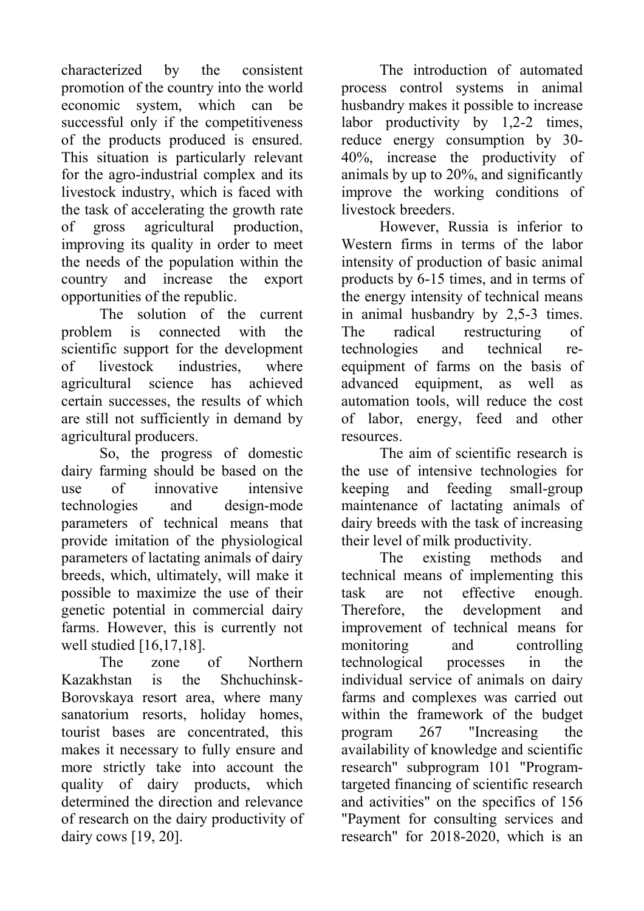characterized by the consistent promotion of the country into the world economic system, which can be successful only if the competitiveness of the products produced is ensured. This situation is particularly relevant for the agro-industrial complex and its livestock industry, which is faced with the task of accelerating the growth rate of gross agricultural production, improving its quality in order to meet the needs of the population within the country and increase the export opportunities of the republic.

The solution of the current problem is connected with the scientific support for the development of livestock industries, where agricultural science has achieved certain successes, the results of which are still not sufficiently in demand by agricultural producers.

So, the progress of domestic dairy farming should be based on the use of innovative intensive technologies and design-mode parameters of technical means that provide imitation of the physiological parameters of lactating animals of dairy breeds, which, ultimately, will make it possible to maximize the use of their genetic potential in commercial dairy farms. However, this is currently not well studied [16,17,18].

The zone of Northern Kazakhstan is the Shchuchinsk-Borovskaya resort area, where many sanatorium resorts, holiday homes, tourist bases are concentrated, this makes it necessary to fully ensure and more strictly take into account the quality of dairy products, which determined the direction and relevance of research on the dairy productivity of dairy cows [19, 20].

The introduction of automated process control systems in animal husbandry makes it possible to increase labor productivity by 1,2-2 times, reduce energy consumption by 30- 40%, increase the productivity of animals by up to 20%, and significantly improve the working conditions of livestock breeders.

However, Russia is inferior to Western firms in terms of the labor intensity of production of basic animal products by 6-15 times, and in terms of the energy intensity of technical means in animal husbandry by 2,5-3 times. The radical restructuring of technologies and technical reequipment of farms on the basis of advanced equipment, as well as automation tools, will reduce the cost of labor, energy, feed and other resources.

The aim of scientific research is the use of intensive technologies for keeping and feeding small-group maintenance of lactating animals of dairy breeds with the task of increasing their level of milk productivity.

The existing methods and technical means of implementing this task are not effective enough. Therefore, the development and improvement of technical means for monitoring and controlling technological processes in the individual service of animals on dairy farms and complexes was carried out within the framework of the budget program 267 "Increasing the availability of knowledge and scientific research" subprogram 101 "Programtargeted financing of scientific research and activities" on the specifics of 156 "Payment for consulting services and research" for 2018-2020, which is an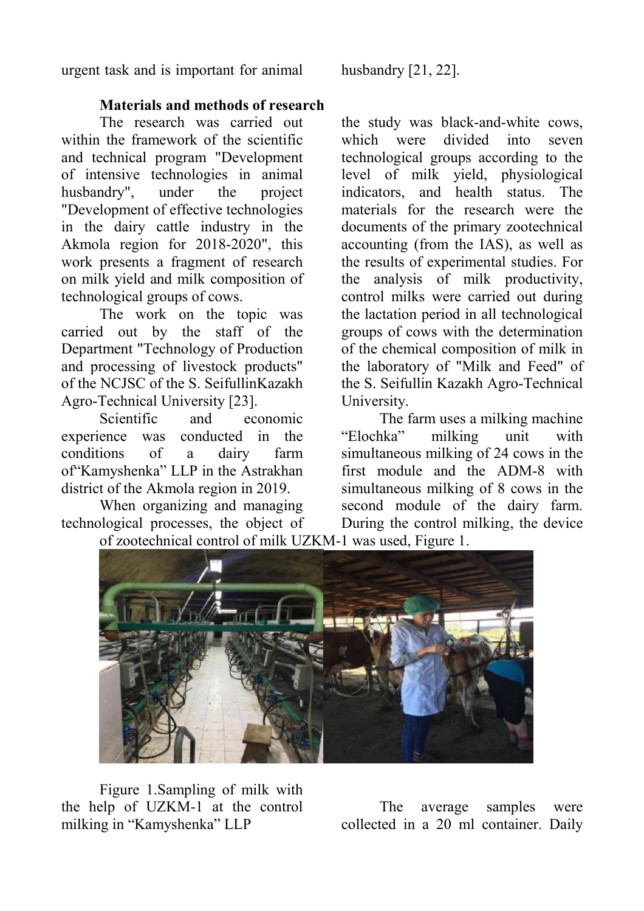urgent task and is important for animal husbandry [21, 22].

**Materials and methods of research** 

The research was carried out within the framework of the scientific and technical program "Development of intensive technologies in animal husbandry", under the project "Development of effective technologies in the dairy cattle industry in the Akmola region for 2018-2020", this work presents a fragment of research on milk yield and milk composition of technological groups of cows.

The work on the topic was carried out by the staff of the Department "Technology of Production and processing of livestock products" of the NCJSC of the S. SeifullinKazakh Agro-Technical University [23].

Scientific and economic experience was conducted in the conditions of a dairy farm of"Kamyshenka" LLP in the Astrakhan district of the Akmola region in 2019.

When organizing and managing technological processes, the object of

the study was black-and-white cows, which were divided into seven technological groups according to the level of milk yield, physiological indicators, and health status. The materials for the research were the documents of the primary zootechnical accounting (from the IAS), as well as the results of experimental studies. For the analysis of milk productivity, control milks were carried out during the lactation period in all technological groups of cows with the determination of the chemical composition of milk in the laboratory of "Milk and Feed" of the S. Seifullin Kazakh Agro-Technical University.

The farm uses a milking machine "Elochka" milking unit with simultaneous milking of 24 cows in the first module and the ADM-8 with simultaneous milking of 8 cows in the second module of the dairy farm. During the control milking, the device of zootechnical control of milk UZKM-1 was used, Figure 1.



Figure 1.Sampling of milk with the help of UZKM-1 at the control milking in "Kamyshenka" LLP

The average samples were collected in a 20 ml container. Daily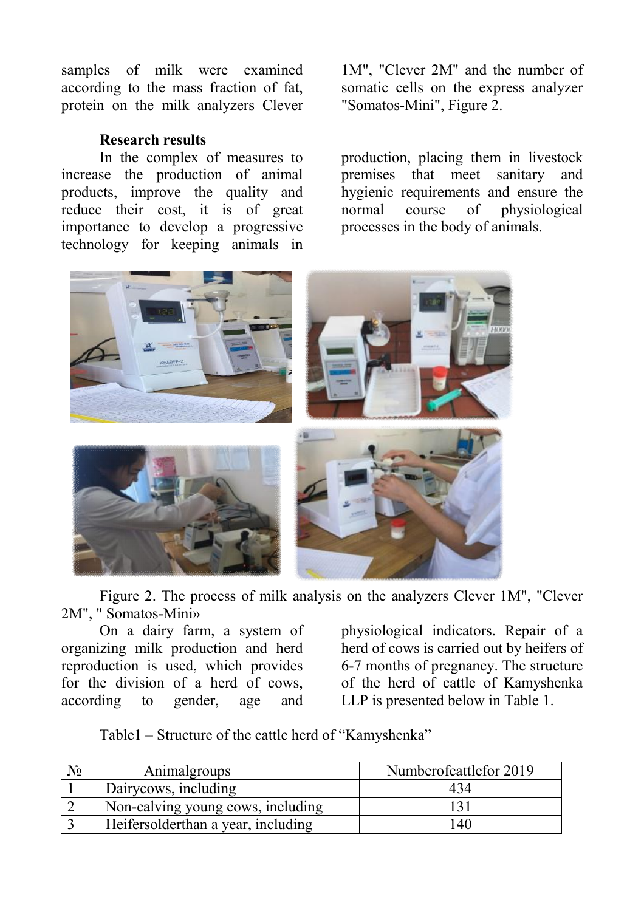samples of milk were examined according to the mass fraction of fat, protein on the milk analyzers Clever

## **Research results**

In the complex of measures to increase the production of animal products, improve the quality and reduce their cost, it is of great importance to develop a progressive technology for keeping animals in

1M", "Clever 2M" and the number of somatic cells on the express analyzer "Somatos-Mini", Figure 2.

production, placing them in livestock premises that meet sanitary and hygienic requirements and ensure the normal course of physiological processes in the body of animals.



Figure 2. The process of milk analysis on the analyzers Clever 1M", "Clever 2M", " Somatos-Mini»

On a dairy farm, a system of organizing milk production and herd reproduction is used, which provides for the division of a herd of cows, according to gender, age and

physiological indicators. Repair of a herd of cows is carried out by heifers of 6-7 months of pregnancy. The structure of the herd of cattle of Kamyshenka LLP is presented below in Table 1.

Table1 – Structure of the cattle herd of "Kamyshenka"

| $N_2$ | Animalgroups                       | Numberofcattlefor 2019 |
|-------|------------------------------------|------------------------|
|       | Dairycows, including               | 434                    |
|       | Non-calving young cows, including  |                        |
|       | Heifersolderthan a year, including | <sup>40</sup>          |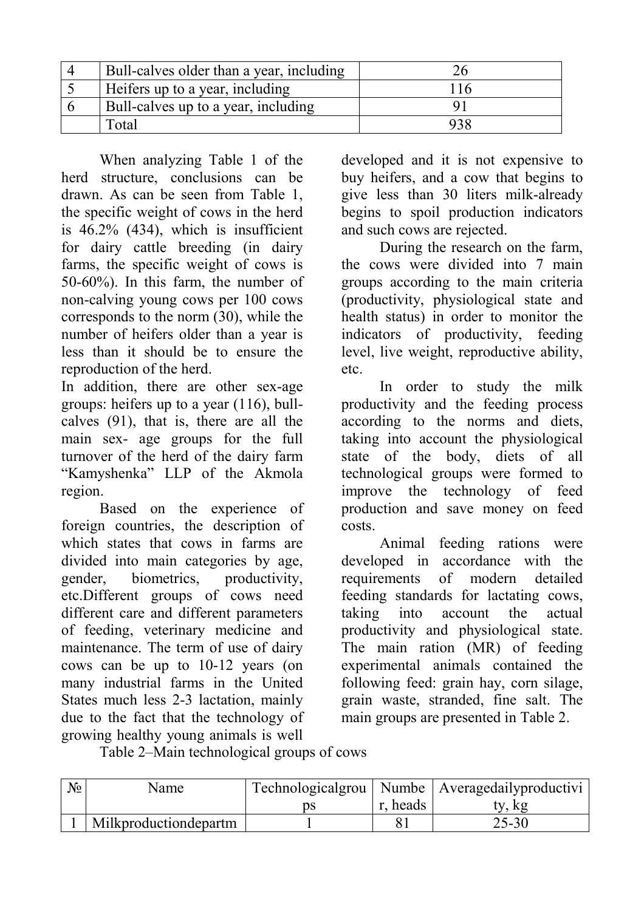| Bull-calves older than a year, including |      |
|------------------------------------------|------|
| Heifers up to a year, including          | ' 16 |
| Bull-calves up to a year, including      |      |
| [otal                                    |      |

When analyzing Table 1 of the herd structure, conclusions can be drawn. As can be seen from Table 1, the specific weight of cows in the herd is  $46.2\%$  (434), which is insufficient for dairy cattle breeding (in dairy farms, the specific weight of cows is 50-60%). In this farm, the number of non-calving young cows per 100 cows corresponds to the norm (30), while the number of heifers older than a year is less than it should be to ensure the reproduction of the herd.

In addition, there are other sex-age groups: heifers up to a year (116), bullcalves (91), that is, there are all the main sex- age groups for the full turnover of the herd of the dairy farm "Kamyshenka" LLP of the Akmola region.

Based on the experience of foreign countries, the description of which states that cows in farms are divided into main categories by age, gender, biometrics, productivity, etc.Different groups of cows need different care and different parameters of feeding, veterinary medicine and maintenance. The term of use of dairy cows can be up to 10-12 years (on many industrial farms in the United States much less 2-3 lactation, mainly due to the fact that the technology of growing healthy young animals is well

developed and it is not expensive to buy heifers, and a cow that begins to give less than 30 liters milk-already begins to spoil production indicators and such cows are rejected.

During the research on the farm, the cows were divided into 7 main groups according to the main criteria (productivity, physiological state and health status) in order to monitor the indicators of productivity, feeding level, live weight, reproductive ability, etc.

In order to study the milk productivity and the feeding process according to the norms and diets, taking into account the physiological state of the body, diets of all technological groups were formed to improve the technology of feed production and save money on feed costs.

Animal feeding rations were developed in accordance with the requirements of modern detailed feeding standards for lactating cows, taking into account the actual productivity and physiological state. The main ration (MR) of feeding experimental animals contained the following feed: grain hay, corn silage, grain waste, stranded, fine salt. The main groups are presented in Table 2.

Table 2–Main technological groups of cows

| $N_2$ | Name                   |    |          | Technologicalgrou   Numbe   Averagedailyproductivi |
|-------|------------------------|----|----------|----------------------------------------------------|
|       |                        | ĎS | r, heads | ty, kg                                             |
|       | Milkproduction departm |    |          | $25 - 30$                                          |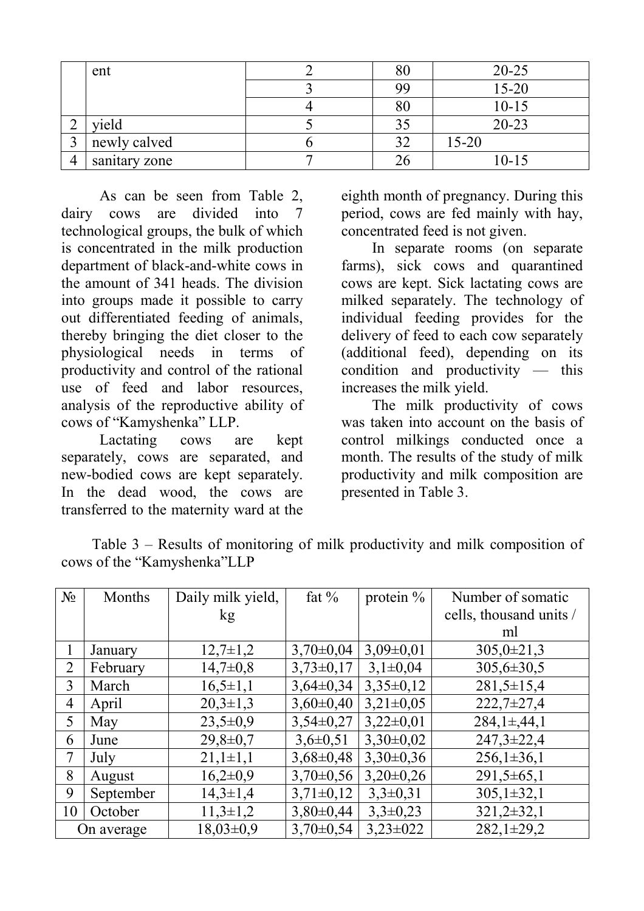|                | ent           | $80\,$ | $20 - 25$ |
|----------------|---------------|--------|-----------|
|                |               | 99     | $15 - 20$ |
|                |               | 80     | $10 - 15$ |
| ∠              | vield         | 35     | $20 - 23$ |
|                | newly calved  | 30     | $15 - 20$ |
| $\overline{4}$ | sanitary zone |        | $10 - 15$ |

As can be seen from Table 2, dairy cows are divided into 7 technological groups, the bulk of which is concentrated in the milk production department of black-and-white cows in the amount of 341 heads. The division into groups made it possible to carry out differentiated feeding of animals, thereby bringing the diet closer to the physiological needs in terms of productivity and control of the rational use of feed and labor resources, analysis of the reproductive ability of cows of "Kamyshenka" LLP.

Lactating cows are kept separately, cows are separated, and new-bodied cows are kept separately. In the dead wood, the cows are transferred to the maternity ward at the eighth month of pregnancy. During this period, cows are fed mainly with hay, concentrated feed is not given.

In separate rooms (on separate farms), sick cows and quarantined cows are kept. Sick lactating cows are milked separately. The technology of individual feeding provides for the delivery of feed to each cow separately (additional feed), depending on its condition and productivity — this increases the milk yield.

The milk productivity of cows was taken into account on the basis of control milkings conducted once a month. The results of the study of milk productivity and milk composition are presented in Table 3.

| Table $3$ – Results of monitoring of milk productivity and milk composition of |  |  |  |
|--------------------------------------------------------------------------------|--|--|--|
| cows of the "Kamyshenka" LLP                                                   |  |  |  |

| $N_2$          | Months    | Daily milk yield, | fat $%$         | protein $\%$  | Number of somatic       |
|----------------|-----------|-------------------|-----------------|---------------|-------------------------|
|                |           | kg                |                 |               | cells, thousand units / |
|                |           |                   |                 |               | ml                      |
|                | January   | $12,7\pm1,2$      | $3,70\pm0,04$   | $3,09\pm0,01$ | $305,0 \pm 21,3$        |
| 2              | February  | $14,7\pm0,8$      | $3,73\pm0,17$   | $3,1\pm0,04$  | $305,6 \pm 30,5$        |
| 3              | March     | $16,5 \pm 1,1$    | $3,64\pm0,34$   | $3,35\pm0,12$ | $281,5 \pm 15,4$        |
| $\overline{4}$ | April     | $20,3 \pm 1,3$    | $3,60\pm0,40$   | $3,21\pm0,05$ | $222,7 \pm 27,4$        |
| 5              | May       | $23,5 \pm 0.9$    | $3,54\pm0,27$   | $3,22\pm0,01$ | $284,1\pm 44,1$         |
| 6              | June      | $29,8 \pm 0.7$    | $3,6 \pm 0,51$  | $3,30\pm0,02$ | $247,3 \pm 22,4$        |
| $\overline{7}$ | July      | $21,1\pm1,1$      | $3,68 \pm 0,48$ | $3,30\pm0,36$ | $256,1\pm36,1$          |
| 8              | August    | $16,2\pm0,9$      | $3,70\pm0,56$   | $3,20\pm0,26$ | $291,5\pm 65,1$         |
| 9              | September | $14,3 \pm 1,4$    | $3,71\pm0,12$   | $3,3\pm0,31$  | $305,1\pm32,1$          |
| 10             | October   | $11,3\pm1,2$      | $3,80\pm0,44$   | $3,3\pm0,23$  | $321,2\pm 32,1$         |
| On average     |           | $18,03\pm0.9$     | $3,70\pm0,54$   | $3,23\pm022$  | $282,1 \pm 29,2$        |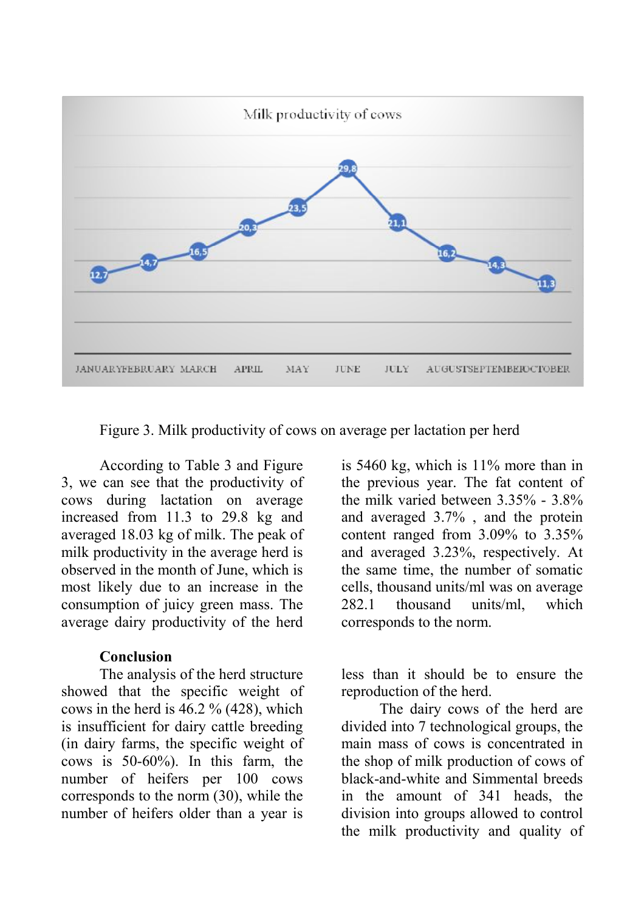

Figure 3. Milk productivity of cows on average per lactation per herd

According to Table 3 and Figure 3, we can see that the productivity of cows during lactation on average increased from 11.3 to 29.8 kg and averaged 18.03 kg of milk. The peak of milk productivity in the average herd is observed in the month of June, which is most likely due to an increase in the consumption of juicy green mass. The average dairy productivity of the herd

#### **Conclusion**

The analysis of the herd structure showed that the specific weight of cows in the herd is 46.2 % (428), which is insufficient for dairy cattle breeding (in dairy farms, the specific weight of cows is 50-60%). In this farm, the number of heifers per 100 cows corresponds to the norm (30), while the number of heifers older than a year is

is 5460 kg, which is 11% more than in the previous year. The fat content of the milk varied between 3.35% - 3.8% and averaged 3.7% , and the protein content ranged from 3.09% to 3.35% and averaged 3.23%, respectively. At the same time, the number of somatic cells, thousand units/ml was on average 282.1 thousand units/ml, which corresponds to the norm.

less than it should be to ensure the reproduction of the herd.

The dairy cows of the herd are divided into 7 technological groups, the main mass of cows is concentrated in the shop of milk production of cows of black-and-white and Simmental breeds in the amount of 341 heads, the division into groups allowed to control the milk productivity and quality of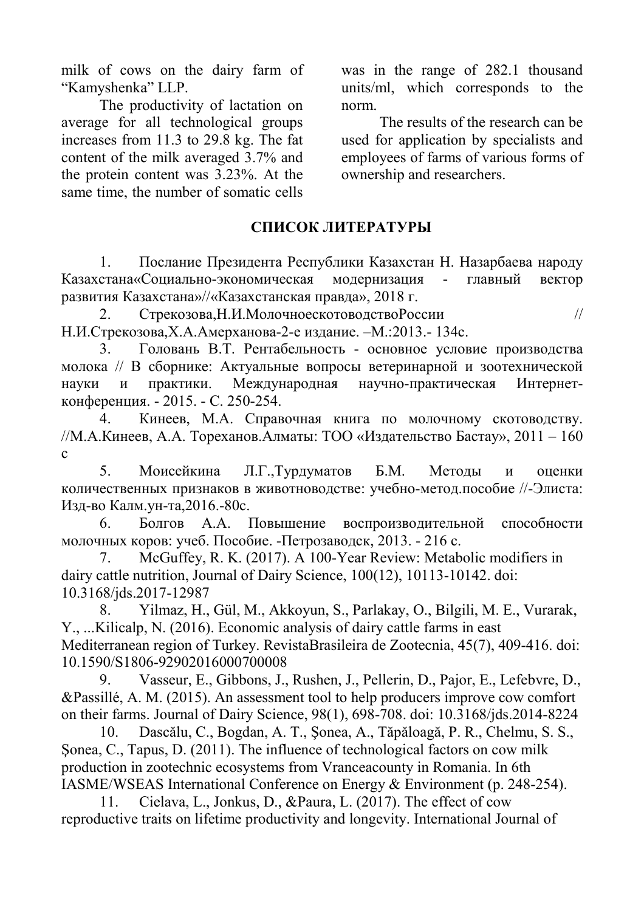milk of cows on the dairy farm of "Kamyshenka" LLP.

The productivity of lactation on average for all technological groups increases from 11.3 to 29.8 kg. The fat content of the milk averaged 3.7% and the protein content was 3.23%. At the same time, the number of somatic cells

was in the range of 282.1 thousand units/ml, which corresponds to the norm.

The results of the research can be used for application by specialists and employees of farms of various forms of ownership and researchers.

## **СПИСОК ЛИТЕРАТУРЫ**

1. Послание Президента Республики Казахстан Н. Назарбаева народу Казахстана«Социально-экономическая модернизация - главный вектор развития Казахстана»//«Казахстанская правда», 2018 г.

2. Стрекозова,Н.И.МолочноескотоводствоРоссии // Н.И.Стрекозова,Х.А.Амерханова-2-е издание. –М.:2013.- 134с.

3. Головань В.Т. Рентабельность - основное условие производства молока // В сборнике: Актуальные вопросы ветеринарной и зоотехнической науки и практики. Международная научно-практическая Интернетконференция. - 2015. - С. 250-254.

4. Кинеев, М.А. Справочная книга по молочному скотоводству. //М.А.Кинеев, А.А. Тореханов.Алматы: ТОО «Издательство Бастау», 2011 – 160  $\mathbf{c}$ 

5. Моисейкина Л.Г.,Турдуматов Б.М. Методы и оценки количественных признаков в животноводстве: учебно-метод.пособие //-Элиста: Изд-во Калм.ун-та,2016.-80с.

6. Болгов А.А. Повышение воспроизводительной способности молочных коров: учеб. Пособие. -Петрозаводск, 2013. - 216 с.

7. McGuffey, R. K. (2017). A 100-Year Review: Metabolic modifiers in dairy cattle nutrition, Journal of Dairy Science, 100(12), 10113-10142. doi: 10.3168/jds.2017-12987

8. Yilmaz, H., Gül, M., Akkoyun, S., Parlakay, O., Bilgili, M. E., Vurarak, Y., ...Kilicalp, N. (2016). Economic analysis of dairy cattle farms in east Mediterranean region of Turkey. RevistaBrasileira de Zootecnia, 45(7), 409-416. doi: 10.1590/S1806-92902016000700008

9. Vasseur, E., Gibbons, J., Rushen, J., Pellerin, D., Pajor, E., Lefebvre, D., &Passillé, A. M. (2015). An assessment tool to help producers improve cow comfort on their farms. Journal of Dairy Science, 98(1), 698-708. doi: 10.3168/jds.2014-8224

10. Dascălu, C., Bogdan, A. T., Şonea, A., Tăpăloagă, P. R., Chelmu, S. S., Şonea, C., Tapus, D. (2011). The influence of technological factors on cow milk production in zootechnic ecosystems from Vranceacounty in Romania. In 6th IASME/WSEAS International Conference on Energy & Environment (p. 248-254).

11. Cielava, L., Jonkus, D., &Paura, L. (2017). The effect of cow reproductive traits on lifetime productivity and longevity. International Journal of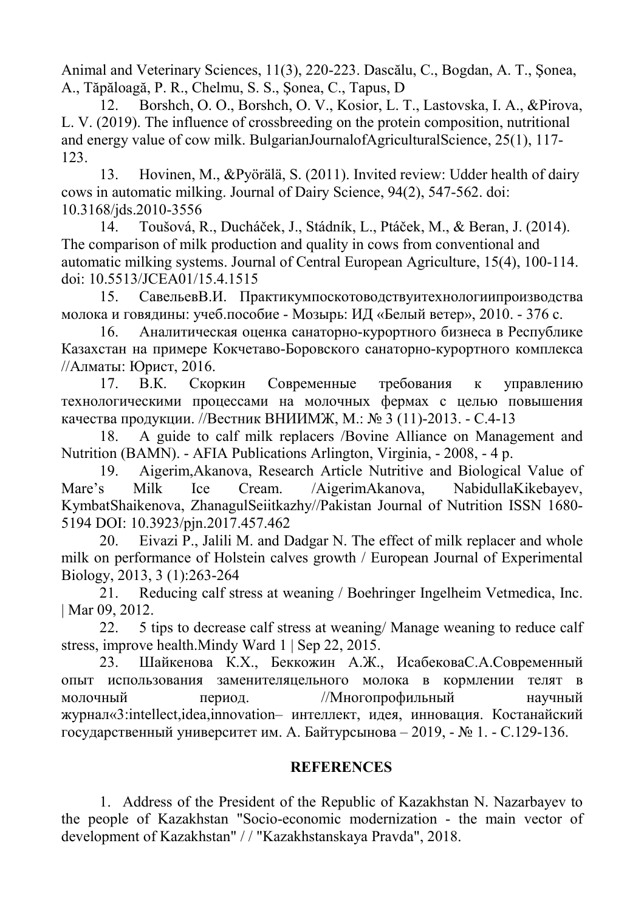Animal and Veterinary Sciences, 11(3), 220-223. Dascălu, C., Bogdan, A. T., Şonea, A., Tăpăloagă, P. R., Chelmu, S. S., Şonea, C., Tapus, D

12. Borshch, O. O., Borshch, O. V., Kosior, L. T., Lastovska, I. A., &Pirova, L. V. (2019). The influence of crossbreeding on the protein composition, nutritional and energy value of cow milk. BulgarianJournalofAgriculturalScience, 25(1), 117- 123.

13. Hovinen, M., &Pyörälä, S. (2011). Invited review: Udder health of dairy cows in automatic milking. Journal of Dairy Science, 94(2), 547-562. doi: 10.3168/jds.2010-3556

14. Toušová, R., Ducháček, J., Stádník, L., Ptáček, M., & Beran, J. (2014). The comparison of milk production and quality in cows from conventional and automatic milking systems. Journal of Central European Agriculture, 15(4), 100-114. doi: 10.5513/JCEA01/15.4.1515

15. СавельевВ.И. Практикумпоскотоводствуитехнологиипроизводства молока и говядины: учеб.пособие - Мозырь: ИД «Белый ветер», 2010. - 376 с.

16. Аналитическая оценка санаторно-курортного бизнеса в Республике Казахстан на примере Кокчетаво-Боровского санаторно-курортного комплекса //Алматы: Юрист, 2016.

17. В.К. Скоркин Современные требования к управлению технологическими процессами на молочных фермах с целью повышения качества продукции. //Вестник ВНИИМЖ, М.: № 3 (11)-2013. - С.4-13

18. A guide to calf milk replacers /Bovine Alliance on Management and Nutrition (BAMN). - AFIA Publications Arlington, Virginia, - 2008, - 4 p.

19. Aigerim,Akanova, Research Article Nutritive and Biological Value of Mare's Milk Ice Cream. /AigerimAkanova, NabidullaKikebayev, KymbatShaikenova, ZhanagulSeiitkazhy//Pakistan Journal of Nutrition ISSN 1680- 5194 DOI: 10.3923/pjn.2017.457.462

20. Eivazi P., Jalili M. and Dadgar N. The effect of milk replacer and whole milk on performance of Holstein calves growth / European Journal of Experimental Biology, 2013, 3 (1):263-264

21. Reducing calf stress at weaning / Boehringer Ingelheim Vetmedica, Inc. | Mar 09, 2012.

22. 5 tips to decrease calf stress at weaning/ Manage weaning to reduce calf stress, improve health.Mindy Ward 1 | Sep 22, 2015.

23. Шайкенова К.Х., Беккожин А.Ж., ИсабековаС.А.Современный опыт использования заменителяцельного молока в кормлении телят в молочный период. //Многопрофильный научный журнал«3:intellect,idea,innovation– интеллект, идея, инновация. Костанайский государственный университет им. А. Байтурсынова – 2019, - № 1. - С.129-136.

# **REFERENCES**

1. Address of the President of the Republic of Kazakhstan N. Nazarbayev to the people of Kazakhstan "Socio-economic modernization - the main vector of development of Kazakhstan" / / "Kazakhstanskaya Pravda", 2018.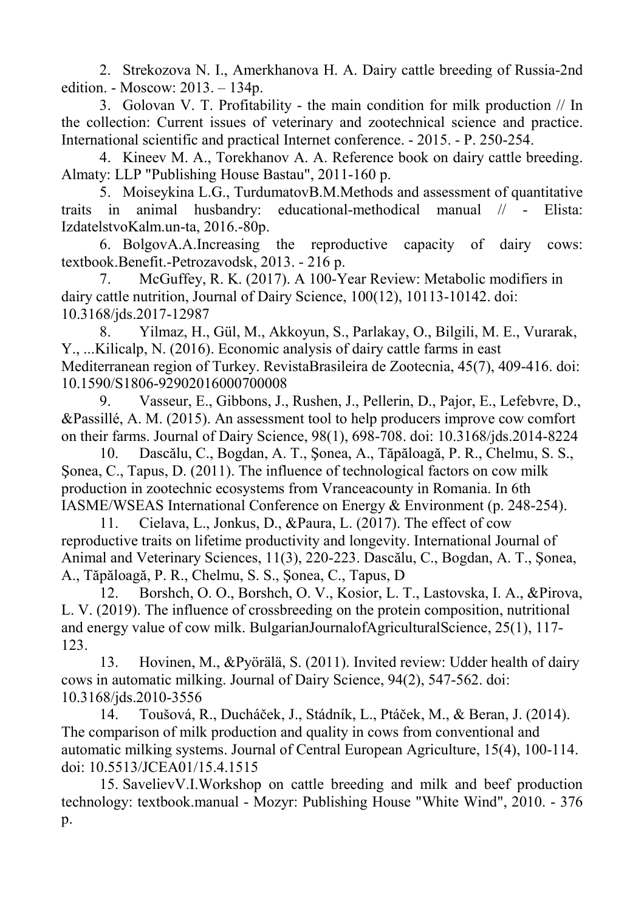2. Strekozova N. I., Аmerkhanova H. A. Dairy cattle breeding of Russia-2nd edition. - Moscow: 2013. – 134p.

3. Golovan V. T. Profitability - the main condition for milk production // In the collection: Current issues of veterinary and zootechnical science and practice. International scientific and practical Internet conference. - 2015. - P. 250-254.

4. Kineev M. A., Torekhanov A. A. Reference book on dairy cattle breeding. Almaty: LLP "Publishing House Bastau", 2011-160 p.

5. Moiseykina L.G., TurdumatovB.M.Methods and assessment of quantitative traits in animal husbandry: educational-methodical manual // - Elista: IzdatelstvoKalm.un-ta, 2016.-80p.

6. BolgovA.A.Increasing the reproductive capacity of dairy cows: textbook.Benefit.-Petrozavodsk, 2013. - 216 p.

7. McGuffey, R. K. (2017). A 100-Year Review: Metabolic modifiers in dairy cattle nutrition, Journal of Dairy Science, 100(12), 10113-10142. doi: 10.3168/jds.2017-12987

8. Yilmaz, H., Gül, M., Akkoyun, S., Parlakay, O., Bilgili, M. E., Vurarak, Y., ...Kilicalp, N. (2016). Economic analysis of dairy cattle farms in east Mediterranean region of Turkey. RevistaBrasileira de Zootecnia, 45(7), 409-416. doi: 10.1590/S1806-92902016000700008

9. Vasseur, E., Gibbons, J., Rushen, J., Pellerin, D., Pajor, E., Lefebvre, D., &Passillé, A. M. (2015). An assessment tool to help producers improve cow comfort on their farms. Journal of Dairy Science, 98(1), 698-708. doi: 10.3168/jds.2014-8224

10. Dascălu, C., Bogdan, A. T., Şonea, A., Tăpăloagă, P. R., Chelmu, S. S., Sonea, C., Tapus, D. (2011). The influence of technological factors on cow milk production in zootechnic ecosystems from Vranceacounty in Romania. In 6th IASME/WSEAS International Conference on Energy & Environment (p. 248-254).

11. Cielava, L., Jonkus, D., &Paura, L. (2017). The effect of cow reproductive traits on lifetime productivity and longevity. International Journal of Animal and Veterinary Sciences, 11(3), 220-223. Dascălu, C., Bogdan, A. T., Şonea, A., Tăpăloagă, P. R., Chelmu, S. S., Şonea, C., Tapus, D

12. Borshch, O. O., Borshch, O. V., Kosior, L. T., Lastovska, I. A., &Pirova, L. V. (2019). The influence of crossbreeding on the protein composition, nutritional and energy value of cow milk. BulgarianJournalofAgriculturalScience, 25(1), 117- 123.

13. Hovinen, M., &Pyörälä, S. (2011). Invited review: Udder health of dairy cows in automatic milking. Journal of Dairy Science, 94(2), 547-562. doi: 10.3168/jds.2010-3556

14. Toušová, R., Ducháček, J., Stádník, L., Ptáček, M., & Beran, J. (2014). The comparison of milk production and quality in cows from conventional and automatic milking systems. Journal of Central European Agriculture, 15(4), 100-114. doi: 10.5513/JCEA01/15.4.1515

15. SavelievV.I.Workshop on cattle breeding and milk and beef production technology: textbook.manual - Mozyr: Publishing House "White Wind", 2010. - 376 p.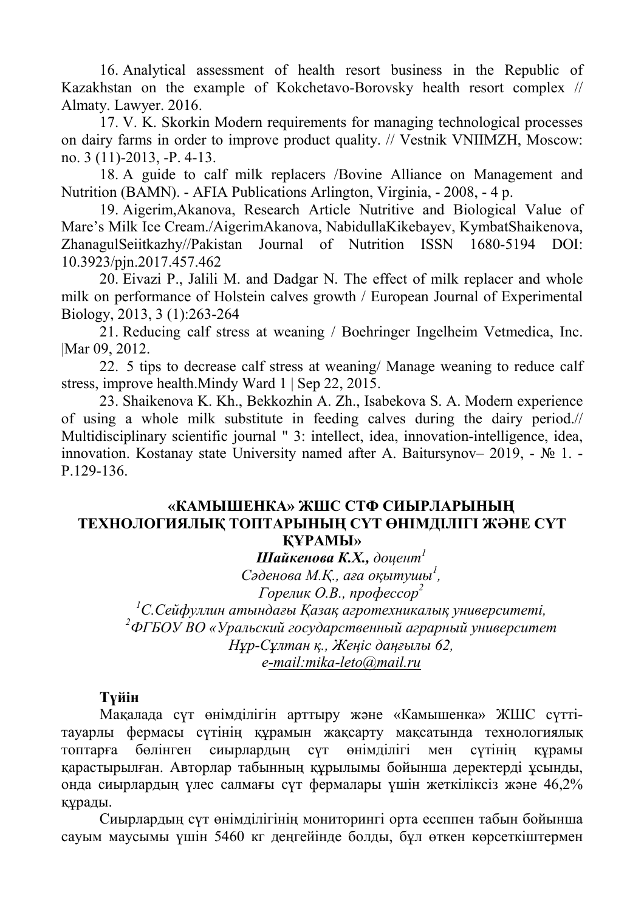16. Analytical assessment of health resort business in the Republic of Kazakhstan on the example of Kokchetavo-Borovsky health resort complex // Almaty. Lawyer. 2016.

17. V. K. Skorkin Modern requirements for managing technological processes on dairy farms in order to improve product quality. // Vestnik VNIIMZH, Moscow: no. 3 (11)-2013, -P. 4-13.

18. A guide to calf milk replacers /Bovine Alliance on Management and Nutrition (BAMN). - AFIA Publications Arlington, Virginia, - 2008, - 4 p.

19. Aigerim,Akanova, Research Article Nutritive and Biological Value of Mare's Milk Ice Cream./AigerimAkanova, NabidullaKikebayev, KymbatShaikenova, ZhanagulSeiitkazhy//Pakistan Journal of Nutrition ISSN 1680-5194 DOI: 10.3923/pjn.2017.457.462

20. Eivazi P., Jalili M. and Dadgar N. The effect of milk replacer and whole milk on performance of Holstein calves growth / European Journal of Experimental Biology, 2013, 3 (1):263-264

21. Reducing calf stress at weaning / Boehringer Ingelheim Vetmedica, Inc. |Mar 09, 2012.

22. 5 tips to decrease calf stress at weaning/ Manage weaning to reduce calf stress, improve health.Mindy Ward 1 | Sep 22, 2015.

23. Shaikenova K. Kh., Bekkozhin A. Zh., Isabekova S. A. Modern experience of using a whole milk substitute in feeding calves during the dairy period.// Multidisciplinary scientific journal " 3: intellect, idea, innovation-intelligence, idea, innovation. Kostanay state University named after A. Baitursynov– 2019, - № 1. - P.129-136.

## **«КАМЫШЕНКА» ЖШС СТФ СИЫРЛАРЫНЫҢ ТЕХНОЛОГИЯЛЫҚ ТОПТАРЫНЫҢ СҮТ ӨНІМДІЛІГІ ЖӘНЕ СҮТ ҚҰРАМЫ»**

*Шайкенова К.Х., доцент 1*

*Сәденова М.Қ., аға оқытушы 1 ,* 

*Горелик О.В., профессор 2* 

*<sup>1</sup>С.Сейфуллин атындағы Қазақ агротехникалық университеті, <sup>2</sup>ФГБОУ ВО «Уральский государственный аграрный университет Нұр-Сұлтан қ., Жеңіс даңғылы 62, е[-mail:mika-leto@mail.ru](mailto:-mail:mika-leto@mail.ru)*

# **Түйін**

Мақалада сүт өнімділігін арттыру және «Камышенка» ЖШС сүттітауарлы фермасы сүтінің құрамын жақсарту мақсатында технологиялық топтарға бөлінген сиырлардың сүт өнімділігі мен сүтінің құрамы қарастырылған. Авторлар табынның құрылымы бойынша деректерді ұсынды, онда сиырлардың үлес салмағы сүт фермалары үшін жеткіліксіз және 46,2% құрады.

Сиырлардың сүт өнімділігінің мониторингі орта есеппен табын бойынша сауым маусымы үшін 5460 кг деңгейінде болды, бұл өткен көрсеткіштермен